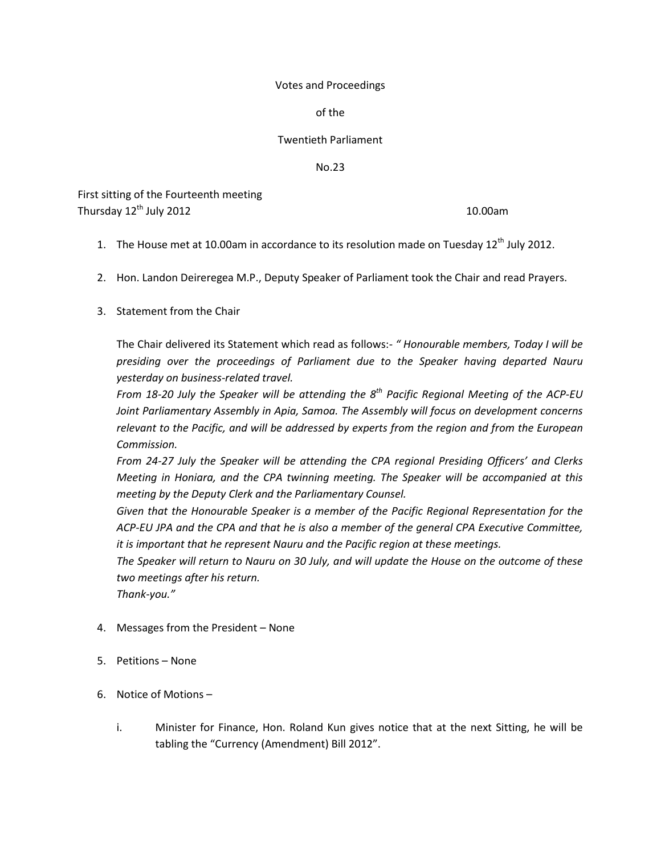#### Votes and Proceedings

of the

## Twentieth Parliament

No.23

First sitting of the Fourteenth meeting Thursday  $12<sup>th</sup>$  July 2012 10.00am

- 1. The House met at 10.00am in accordance to its resolution made on Tuesday  $12^{th}$  July 2012.
- 2. Hon. Landon Deireregea M.P., Deputy Speaker of Parliament took the Chair and read Prayers.
- 3. Statement from the Chair

The Chair delivered its Statement which read as follows:- *" Honourable members, Today I will be presiding over the proceedings of Parliament due to the Speaker having departed Nauru yesterday on business-related travel.*

*From 18-20 July the Speaker will be attending the 8th Pacific Regional Meeting of the ACP-EU Joint Parliamentary Assembly in Apia, Samoa. The Assembly will focus on development concerns relevant to the Pacific, and will be addressed by experts from the region and from the European Commission.*

*From 24-27 July the Speaker will be attending the CPA regional Presiding Officers' and Clerks Meeting in Honiara, and the CPA twinning meeting. The Speaker will be accompanied at this meeting by the Deputy Clerk and the Parliamentary Counsel.*

*Given that the Honourable Speaker is a member of the Pacific Regional Representation for the ACP-EU JPA and the CPA and that he is also a member of the general CPA Executive Committee, it is important that he represent Nauru and the Pacific region at these meetings.*

*The Speaker will return to Nauru on 30 July, and will update the House on the outcome of these two meetings after his return.*

*Thank-you."*

- 4. Messages from the President None
- 5. Petitions None
- 6. Notice of Motions
	- i. Minister for Finance, Hon. Roland Kun gives notice that at the next Sitting, he will be tabling the "Currency (Amendment) Bill 2012".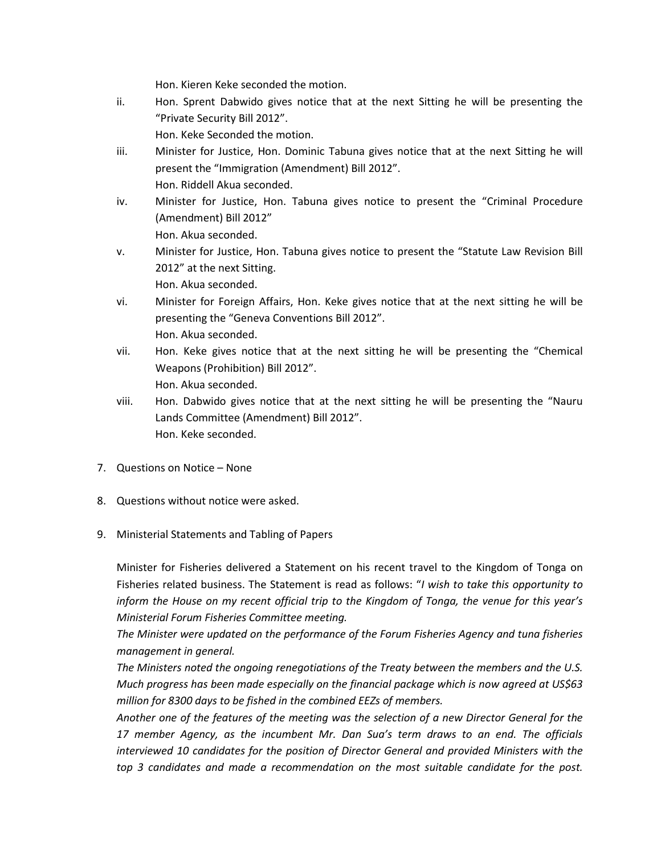Hon. Kieren Keke seconded the motion.

ii. Hon. Sprent Dabwido gives notice that at the next Sitting he will be presenting the "Private Security Bill 2012".

Hon. Keke Seconded the motion.

- iii. Minister for Justice, Hon. Dominic Tabuna gives notice that at the next Sitting he will present the "Immigration (Amendment) Bill 2012". Hon. Riddell Akua seconded.
- iv. Minister for Justice, Hon. Tabuna gives notice to present the "Criminal Procedure (Amendment) Bill 2012" Hon. Akua seconded.
- v. Minister for Justice, Hon. Tabuna gives notice to present the "Statute Law Revision Bill 2012" at the next Sitting. Hon. Akua seconded.
- vi. Minister for Foreign Affairs, Hon. Keke gives notice that at the next sitting he will be presenting the "Geneva Conventions Bill 2012". Hon. Akua seconded.
- vii. Hon. Keke gives notice that at the next sitting he will be presenting the "Chemical Weapons (Prohibition) Bill 2012". Hon. Akua seconded.
- viii. Hon. Dabwido gives notice that at the next sitting he will be presenting the "Nauru Lands Committee (Amendment) Bill 2012". Hon. Keke seconded.
- 7. Questions on Notice None
- 8. Questions without notice were asked.
- 9. Ministerial Statements and Tabling of Papers

Minister for Fisheries delivered a Statement on his recent travel to the Kingdom of Tonga on Fisheries related business. The Statement is read as follows: "*I wish to take this opportunity to inform the House on my recent official trip to the Kingdom of Tonga, the venue for this year's Ministerial Forum Fisheries Committee meeting.*

*The Minister were updated on the performance of the Forum Fisheries Agency and tuna fisheries management in general.*

*The Ministers noted the ongoing renegotiations of the Treaty between the members and the U.S. Much progress has been made especially on the financial package which is now agreed at US\$63 million for 8300 days to be fished in the combined EEZs of members.*

*Another one of the features of the meeting was the selection of a new Director General for the 17 member Agency, as the incumbent Mr. Dan Sua's term draws to an end. The officials interviewed 10 candidates for the position of Director General and provided Ministers with the top 3 candidates and made a recommendation on the most suitable candidate for the post.*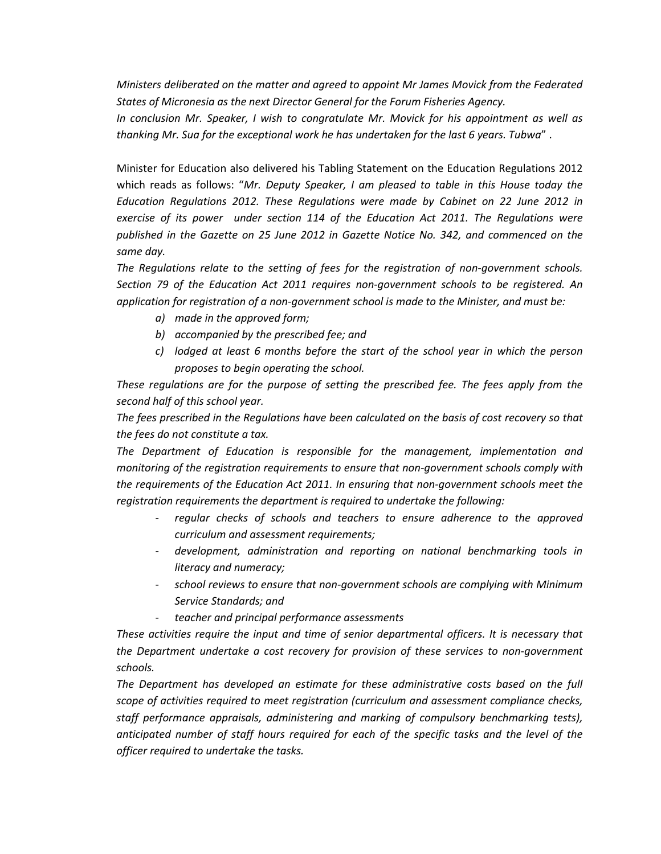*Ministers deliberated on the matter and agreed to appoint Mr James Movick from the Federated States of Micronesia as the next Director General for the Forum Fisheries Agency.*

*In conclusion Mr. Speaker, I wish to congratulate Mr. Movick for his appointment as well as thanking Mr. Sua for the exceptional work he has undertaken for the last 6 years. Tubwa*" .

Minister for Education also delivered his Tabling Statement on the Education Regulations 2012 which reads as follows: "*Mr. Deputy Speaker, I am pleased to table in this House today the Education Regulations 2012. These Regulations were made by Cabinet on 22 June 2012 in exercise of its power under section 114 of the Education Act 2011. The Regulations were published in the Gazette on 25 June 2012 in Gazette Notice No. 342, and commenced on the same day.*

*The Regulations relate to the setting of fees for the registration of non-government schools. Section 79 of the Education Act 2011 requires non-government schools to be registered. An application for registration of a non-government school is made to the Minister, and must be:*

- *a) made in the approved form;*
- *b) accompanied by the prescribed fee; and*
- *c) lodged at least 6 months before the start of the school year in which the person proposes to begin operating the school.*

*These regulations are for the purpose of setting the prescribed fee. The fees apply from the second half of this school year.*

*The fees prescribed in the Regulations have been calculated on the basis of cost recovery so that the fees do not constitute a tax.*

*The Department of Education is responsible for the management, implementation and monitoring of the registration requirements to ensure that non-government schools comply with the requirements of the Education Act 2011. In ensuring that non-government schools meet the registration requirements the department is required to undertake the following:*

- *regular checks of schools and teachers to ensure adherence to the approved curriculum and assessment requirements;*
- *development, administration and reporting on national benchmarking tools in literacy and numeracy;*
- *school reviews to ensure that non-government schools are complying with Minimum Service Standards; and*
- *teacher and principal performance assessments*

*These activities require the input and time of senior departmental officers. It is necessary that the Department undertake a cost recovery for provision of these services to non-government schools.*

*The Department has developed an estimate for these administrative costs based on the full scope of activities required to meet registration (curriculum and assessment compliance checks, staff performance appraisals, administering and marking of compulsory benchmarking tests), anticipated number of staff hours required for each of the specific tasks and the level of the officer required to undertake the tasks.*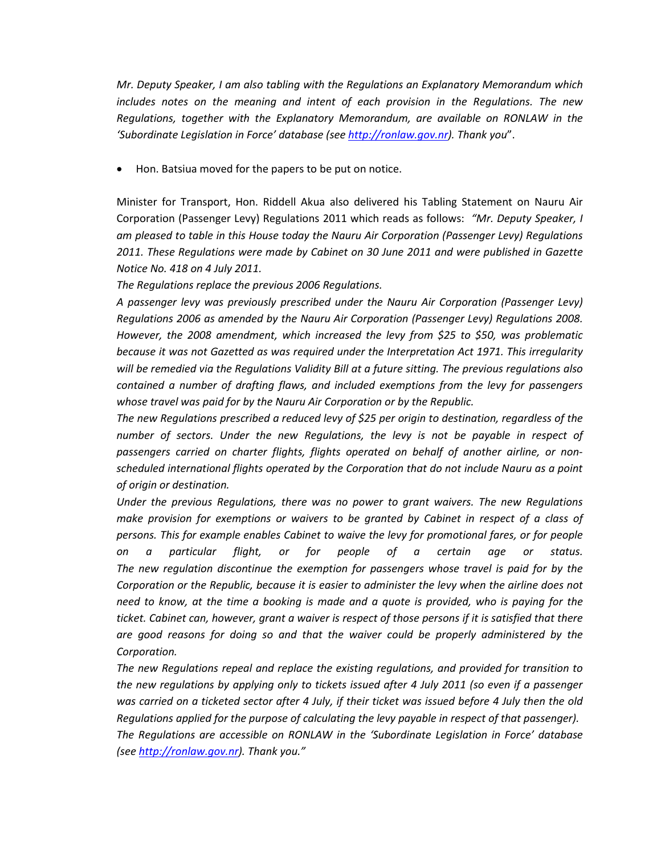*Mr. Deputy Speaker, I am also tabling with the Regulations an Explanatory Memorandum which includes notes on the meaning and intent of each provision in the Regulations. The new Regulations, together with the Explanatory Memorandum, are available on RONLAW in the 'Subordinate Legislation in Force' database (se[e http://ronlaw.gov.nr\)](http://ronlaw.gov.nr/). Thank you*".

• Hon. Batsiua moved for the papers to be put on notice.

Minister for Transport, Hon. Riddell Akua also delivered his Tabling Statement on Nauru Air Corporation (Passenger Levy) Regulations 2011 which reads as follows: *"Mr. Deputy Speaker, I am pleased to table in this House today the Nauru Air Corporation (Passenger Levy) Regulations 2011. These Regulations were made by Cabinet on 30 June 2011 and were published in Gazette Notice No. 418 on 4 July 2011.*

*The Regulations replace the previous 2006 Regulations.*

*A passenger levy was previously prescribed under the Nauru Air Corporation (Passenger Levy) Regulations 2006 as amended by the Nauru Air Corporation (Passenger Levy) Regulations 2008. However, the 2008 amendment, which increased the levy from \$25 to \$50, was problematic because it was not Gazetted as was required under the Interpretation Act 1971. This irregularity will be remedied via the Regulations Validity Bill at a future sitting. The previous regulations also contained a number of drafting flaws, and included exemptions from the levy for passengers whose travel was paid for by the Nauru Air Corporation or by the Republic.*

*The new Regulations prescribed a reduced levy of \$25 per origin to destination, regardless of the number of sectors. Under the new Regulations, the levy is not be payable in respect of passengers carried on charter flights, flights operated on behalf of another airline, or nonscheduled international flights operated by the Corporation that do not include Nauru as a point of origin or destination.*

*Under the previous Regulations, there was no power to grant waivers. The new Regulations make provision for exemptions or waivers to be granted by Cabinet in respect of a class of persons. This for example enables Cabinet to waive the levy for promotional fares, or for people on a particular flight, or for people of a certain age or status. The new regulation discontinue the exemption for passengers whose travel is paid for by the Corporation or the Republic, because it is easier to administer the levy when the airline does not need to know, at the time a booking is made and a quote is provided, who is paying for the ticket. Cabinet can, however, grant a waiver is respect of those persons if it is satisfied that there are good reasons for doing so and that the waiver could be properly administered by the Corporation.*

*The new Regulations repeal and replace the existing regulations, and provided for transition to the new regulations by applying only to tickets issued after 4 July 2011 (so even if a passenger was carried on a ticketed sector after 4 July, if their ticket was issued before 4 July then the old Regulations applied for the purpose of calculating the levy payable in respect of that passenger). The Regulations are accessible on RONLAW in the 'Subordinate Legislation in Force' database (se[e http://ronlaw.gov.nr\)](http://ronlaw.gov.nr/). Thank you."*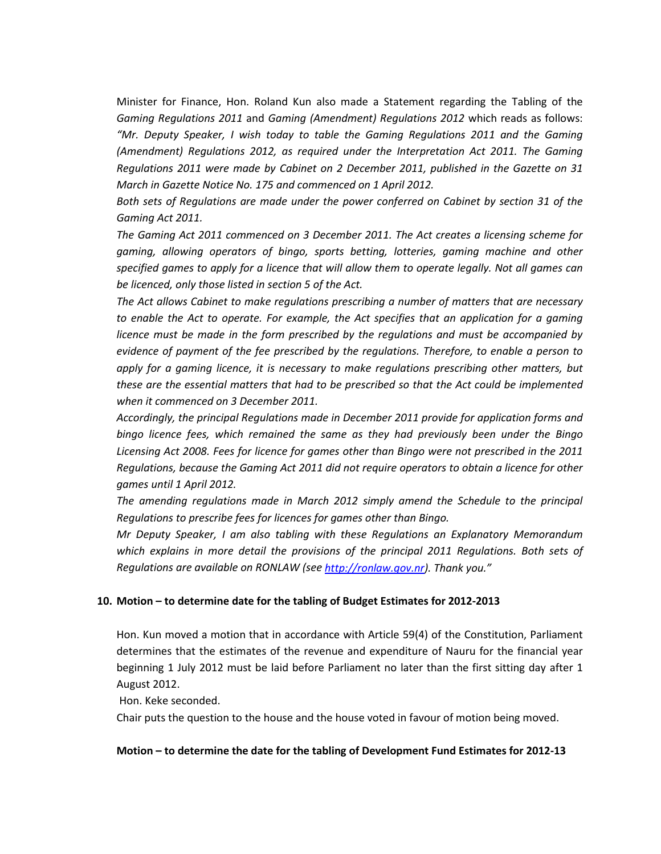Minister for Finance, Hon. Roland Kun also made a Statement regarding the Tabling of the *Gaming Regulations 2011* and *Gaming (Amendment) Regulations 2012* which reads as follows: *"Mr. Deputy Speaker, I wish today to table the Gaming Regulations 2011 and the Gaming (Amendment) Regulations 2012, as required under the Interpretation Act 2011. The Gaming Regulations 2011 were made by Cabinet on 2 December 2011, published in the Gazette on 31 March in Gazette Notice No. 175 and commenced on 1 April 2012.*

*Both sets of Regulations are made under the power conferred on Cabinet by section 31 of the Gaming Act 2011.* 

*The Gaming Act 2011 commenced on 3 December 2011. The Act creates a licensing scheme for gaming, allowing operators of bingo, sports betting, lotteries, gaming machine and other specified games to apply for a licence that will allow them to operate legally. Not all games can be licenced, only those listed in section 5 of the Act.*

*The Act allows Cabinet to make regulations prescribing a number of matters that are necessary*  to enable the Act to operate. For example, the Act specifies that an application for a gaming *licence must be made in the form prescribed by the regulations and must be accompanied by evidence of payment of the fee prescribed by the regulations. Therefore, to enable a person to apply for a gaming licence, it is necessary to make regulations prescribing other matters, but these are the essential matters that had to be prescribed so that the Act could be implemented when it commenced on 3 December 2011.*

*Accordingly, the principal Regulations made in December 2011 provide for application forms and bingo licence fees, which remained the same as they had previously been under the Bingo Licensing Act 2008. Fees for licence for games other than Bingo were not prescribed in the 2011 Regulations, because the Gaming Act 2011 did not require operators to obtain a licence for other games until 1 April 2012.*

*The amending regulations made in March 2012 simply amend the Schedule to the principal Regulations to prescribe fees for licences for games other than Bingo.*

*Mr Deputy Speaker, I am also tabling with these Regulations an Explanatory Memorandum*  which explains in more detail the provisions of the principal 2011 Regulations. Both sets of *Regulations are available on RONLAW (see [http://ronlaw.gov.nr\)](http://ronlaw.gov.nr/). Thank you."*

#### **10. Motion – to determine date for the tabling of Budget Estimates for 2012-2013**

Hon. Kun moved a motion that in accordance with Article 59(4) of the Constitution, Parliament determines that the estimates of the revenue and expenditure of Nauru for the financial year beginning 1 July 2012 must be laid before Parliament no later than the first sitting day after 1 August 2012.

Hon. Keke seconded.

Chair puts the question to the house and the house voted in favour of motion being moved.

#### **Motion – to determine the date for the tabling of Development Fund Estimates for 2012-13**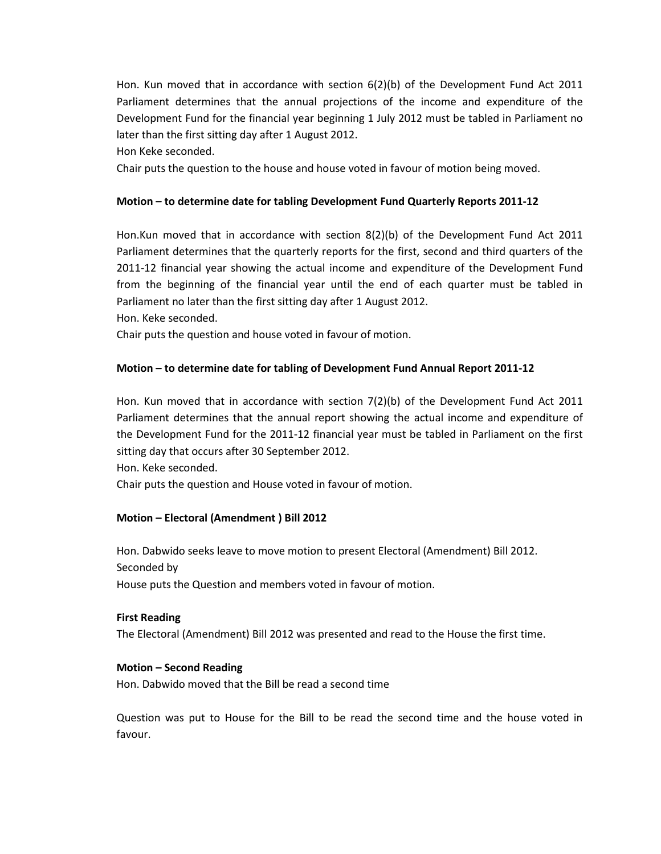Hon. Kun moved that in accordance with section 6(2)(b) of the Development Fund Act 2011 Parliament determines that the annual projections of the income and expenditure of the Development Fund for the financial year beginning 1 July 2012 must be tabled in Parliament no later than the first sitting day after 1 August 2012.

Hon Keke seconded.

Chair puts the question to the house and house voted in favour of motion being moved.

# **Motion – to determine date for tabling Development Fund Quarterly Reports 2011-12**

Hon.Kun moved that in accordance with section 8(2)(b) of the Development Fund Act 2011 Parliament determines that the quarterly reports for the first, second and third quarters of the 2011-12 financial year showing the actual income and expenditure of the Development Fund from the beginning of the financial year until the end of each quarter must be tabled in Parliament no later than the first sitting day after 1 August 2012.

Hon. Keke seconded.

Chair puts the question and house voted in favour of motion.

## **Motion – to determine date for tabling of Development Fund Annual Report 2011-12**

Hon. Kun moved that in accordance with section 7(2)(b) of the Development Fund Act 2011 Parliament determines that the annual report showing the actual income and expenditure of the Development Fund for the 2011-12 financial year must be tabled in Parliament on the first sitting day that occurs after 30 September 2012.

Hon. Keke seconded.

Chair puts the question and House voted in favour of motion.

## **Motion – Electoral (Amendment ) Bill 2012**

Hon. Dabwido seeks leave to move motion to present Electoral (Amendment) Bill 2012. Seconded by House puts the Question and members voted in favour of motion.

## **First Reading**

The Electoral (Amendment) Bill 2012 was presented and read to the House the first time.

## **Motion – Second Reading**

Hon. Dabwido moved that the Bill be read a second time

Question was put to House for the Bill to be read the second time and the house voted in favour.